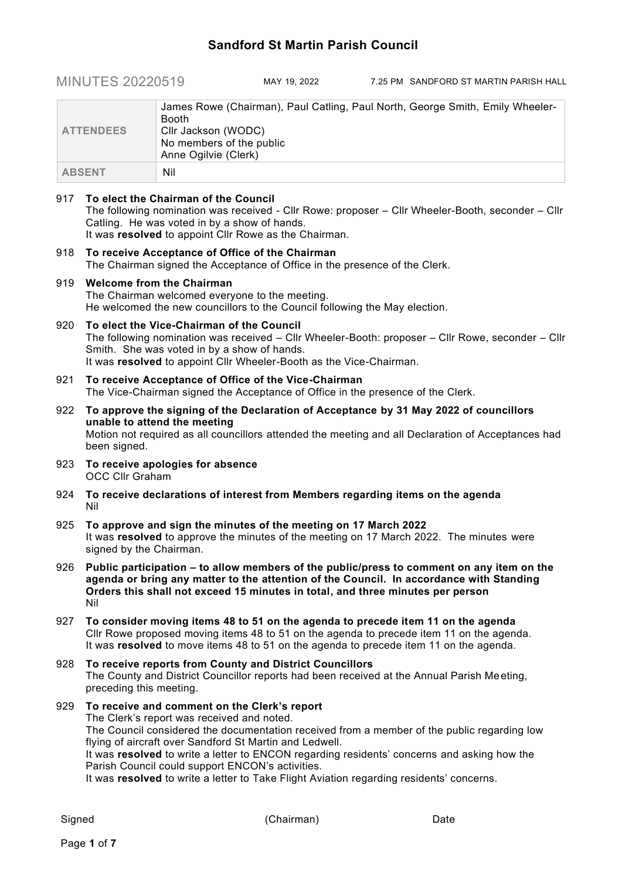# **Sandford St Martin Parish Council**

MINUTES 20220519 MAY 19, 2022 7.25 PM SANDFORD ST MARTIN PARISH HALL

| <b>ATTENDEES</b> | James Rowe (Chairman), Paul Catling, Paul North, George Smith, Emily Wheeler-<br><b>Booth</b><br>Cllr Jackson (WODC)<br>No members of the public<br>Anne Ogilvie (Clerk) |
|------------------|--------------------------------------------------------------------------------------------------------------------------------------------------------------------------|
| <b>ABSENT</b>    | Nil                                                                                                                                                                      |

## 917 **To elect the Chairman of the Council**

The following nomination was received - Cllr Rowe: proposer – Cllr Wheeler-Booth, seconder – Cllr Catling. He was voted in by a show of hands. It was **resolved** to appoint Cllr Rowe as the Chairman.

918 **To receive Acceptance of Office of the Chairman** The Chairman signed the Acceptance of Office in the presence of the Clerk.

# 919 **Welcome from the Chairman**

The Chairman welcomed everyone to the meeting. He welcomed the new councillors to the Council following the May election.

# 920 **To elect the Vice-Chairman of the Council**

The following nomination was received – Cllr Wheeler-Booth: proposer – Cllr Rowe, seconder – Cllr Smith. She was voted in by a show of hands. It was **resolved** to appoint Cllr Wheeler-Booth as the Vice-Chairman.

- 921 **To receive Acceptance of Office of the Vice-Chairman** The Vice-Chairman signed the Acceptance of Office in the presence of the Clerk.
- 922 **To approve the signing of the Declaration of Acceptance by 31 May 2022 of councillors unable to attend the meeting** Motion not required as all councillors attended the meeting and all Declaration of Acceptances had been signed.
- 923 **To receive apologies for absence** OCC Cllr Graham
- 924 **To receive declarations of interest from Members regarding items on the agenda** Nil
- 925 **To approve and sign the minutes of the meeting on 17 March 2022** It was **resolved** to approve the minutes of the meeting on 17 March 2022. The minutes were signed by the Chairman.
- 926 **Public participation – to allow members of the public/press to comment on any item on the agenda or bring any matter to the attention of the Council. In accordance with Standing Orders this shall not exceed 15 minutes in total, and three minutes per person** Nil
- 927 **To consider moving items 48 to 51 on the agenda to precede item 11 on the agenda** Cllr Rowe proposed moving items 48 to 51 on the agenda to precede item 11 on the agenda. It was **resolved** to move items 48 to 51 on the agenda to precede item 11 on the agenda.

### 928 **To receive reports from County and District Councillors** The County and District Councillor reports had been received at the Annual Parish Meeting, preceding this meeting.

929 **To receive and comment on the Clerk's report** The Clerk's report was received and noted. The Council considered the documentation received from a member of the public regarding low flying of aircraft over Sandford St Martin and Ledwell. It was **resolved** to write a letter to ENCON regarding residents' concerns and asking how the Parish Council could support ENCON's activities.

It was **resolved** to write a letter to Take Flight Aviation regarding residents' concerns.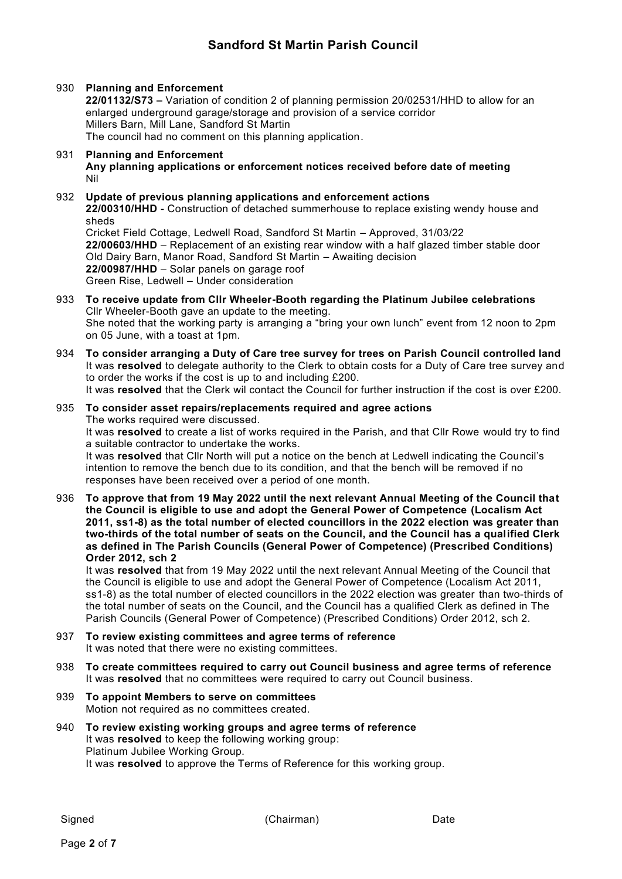# **Sandford St Martin Parish Council**

# 930 **Planning and Enforcement**

**22/01132/S73 –** Variation of condition 2 of planning permission 20/02531/HHD to allow for an enlarged underground garage/storage and provision of a service corridor Millers Barn, Mill Lane, Sandford St Martin The council had no comment on this planning application.

#### 931 **Planning and Enforcement Any planning applications or enforcement notices received before date of meeting** Nil

#### 932 **Update of previous planning applications and enforcement actions 22/00310/HHD** - Construction of detached summerhouse to replace existing wendy house and sheds Cricket Field Cottage, Ledwell Road, Sandford St Martin – Approved, 31/03/22 **22/00603/HHD** – Replacement of an existing rear window with a half glazed timber stable door Old Dairy Barn, Manor Road, Sandford St Martin – Awaiting decision **22/00987/HHD** – Solar panels on garage roof Green Rise, Ledwell – Under consideration

- 933 **To receive update from Cllr Wheeler-Booth regarding the Platinum Jubilee celebrations** Cllr Wheeler-Booth gave an update to the meeting. She noted that the working party is arranging a "bring your own lunch" event from 12 noon to 2pm on 05 June, with a toast at 1pm.
- 934 **To consider arranging a Duty of Care tree survey for trees on Parish Council controlled land** It was **resolved** to delegate authority to the Clerk to obtain costs for a Duty of Care tree survey and to order the works if the cost is up to and including £200. It was **resolved** that the Clerk wil contact the Council for further instruction if the cost is over £200.
- 935 **To consider asset repairs/replacements required and agree actions** The works required were discussed. It was **resolved** to create a list of works required in the Parish, and that Cllr Rowe would try to find a suitable contractor to undertake the works.

It was **resolved** that Cllr North will put a notice on the bench at Ledwell indicating the Council's intention to remove the bench due to its condition, and that the bench will be removed if no responses have been received over a period of one month.

936 **To approve that from 19 May 2022 until the next relevant Annual Meeting of the Council that the Council is eligible to use and adopt the General Power of Competence (Localism Act 2011, ss1-8) as the total number of elected councillors in the 2022 election was greater than two-thirds of the total number of seats on the Council, and the Council has a qualified Clerk as defined in The Parish Councils (General Power of Competence) (Prescribed Conditions) Order 2012, sch 2**

It was **resolved** that from 19 May 2022 until the next relevant Annual Meeting of the Council that the Council is eligible to use and adopt the General Power of Competence (Localism Act 2011, ss1-8) as the total number of elected councillors in the 2022 election was greater than two-thirds of the total number of seats on the Council, and the Council has a qualified Clerk as defined in The Parish Councils (General Power of Competence) (Prescribed Conditions) Order 2012, sch 2.

- 937 **To review existing committees and agree terms of reference** It was noted that there were no existing committees.
- 938 **To create committees required to carry out Council business and agree terms of reference** It was **resolved** that no committees were required to carry out Council business.
- 939 **To appoint Members to serve on committees** Motion not required as no committees created.
- 940 **To review existing working groups and agree terms of reference** It was **resolved** to keep the following working group: Platinum Jubilee Working Group. It was **resolved** to approve the Terms of Reference for this working group.

Signed Date (Chairman) Date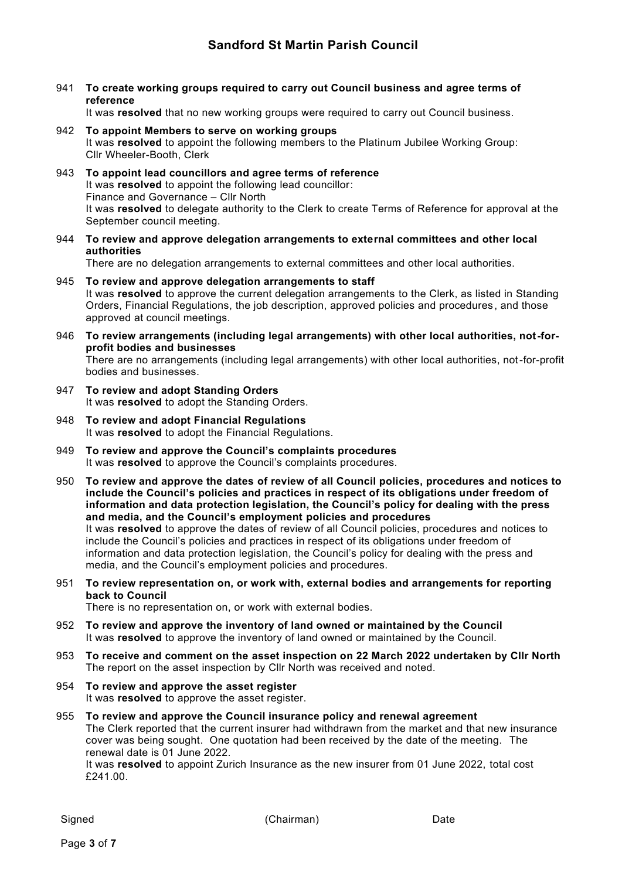941 **To create working groups required to carry out Council business and agree terms of reference**

It was **resolved** that no new working groups were required to carry out Council business.

- 942 **To appoint Members to serve on working groups** It was **resolved** to appoint the following members to the Platinum Jubilee Working Group: Cllr Wheeler-Booth, Clerk
- 943 **To appoint lead councillors and agree terms of reference** It was **resolved** to appoint the following lead councillor: Finance and Governance – Cllr North It was **resolved** to delegate authority to the Clerk to create Terms of Reference for approval at the September council meeting.
- 944 **To review and approve delegation arrangements to external committees and other local authorities**

There are no delegation arrangements to external committees and other local authorities.

- 945 **To review and approve delegation arrangements to staff** It was **resolved** to approve the current delegation arrangements to the Clerk, as listed in Standing Orders, Financial Regulations, the job description, approved policies and procedures , and those approved at council meetings.
- 946 **To review arrangements (including legal arrangements) with other local authorities, not-forprofit bodies and businesses** There are no arrangements (including legal arrangements) with other local authorities, not-for-profit bodies and businesses.
- 947 **To review and adopt Standing Orders** It was **resolved** to adopt the Standing Orders.
- 948 **To review and adopt Financial Regulations** It was **resolved** to adopt the Financial Regulations.
- 949 **To review and approve the Council's complaints procedures** It was **resolved** to approve the Council's complaints procedures.
- 950 **To review and approve the dates of review of all Council policies, procedures and notices to include the Council's policies and practices in respect of its obligations under freedom of information and data protection legislation, the Council's policy for dealing with the press and media, and the Council's employment policies and procedures** It was **resolved** to approve the dates of review of all Council policies, procedures and notices to include the Council's policies and practices in respect of its obligations under freedom of information and data protection legislation, the Council's policy for dealing with the press and media, and the Council's employment policies and procedures.
- 951 **To review representation on, or work with, external bodies and arrangements for reporting back to Council**

There is no representation on, or work with external bodies.

- 952 **To review and approve the inventory of land owned or maintained by the Council** It was **resolved** to approve the inventory of land owned or maintained by the Council.
- 953 **To receive and comment on the asset inspection on 22 March 2022 undertaken by Cllr North** The report on the asset inspection by Cllr North was received and noted.
- 954 **To review and approve the asset register** It was **resolved** to approve the asset register.
- 955 **To review and approve the Council insurance policy and renewal agreement** The Clerk reported that the current insurer had withdrawn from the market and that new insurance cover was being sought. One quotation had been received by the date of the meeting. The renewal date is 01 June 2022.

It was **resolved** to appoint Zurich Insurance as the new insurer from 01 June 2022, total cost £241.00.

Signed Date (Chairman) Date

Page **3** of **7**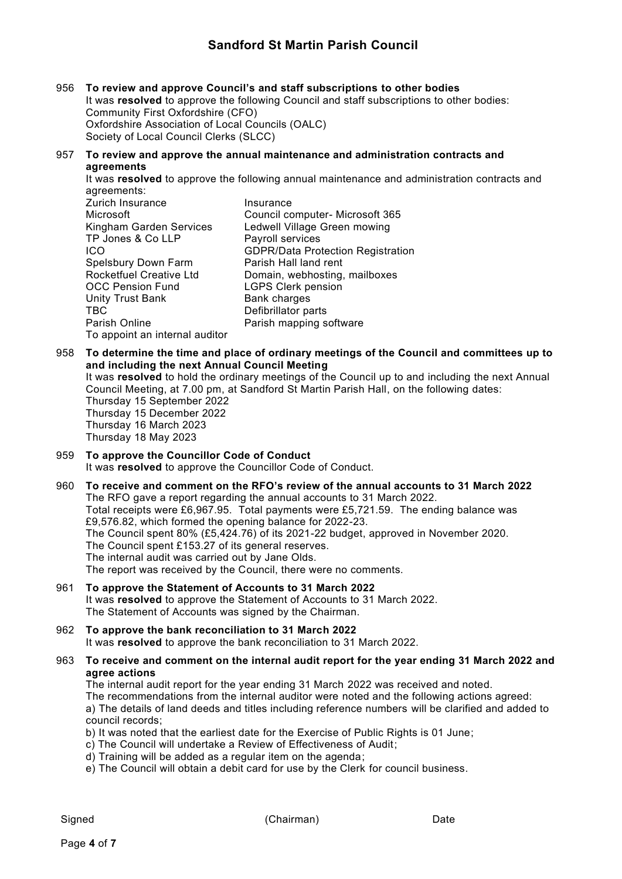# **Sandford St Martin Parish Council**

- 956 **To review and approve Council's and staff subscriptions to other bodies** It was **resolved** to approve the following Council and staff subscriptions to other bodies: Community First Oxfordshire (CFO) Oxfordshire Association of Local Councils (OALC) Society of Local Council Clerks (SLCC)
- 957 **To review and approve the annual maintenance and administration contracts and agreements**

It was **resolved** to approve the following annual maintenance and administration contracts and agreements:

| Zurich Insurance               | Insurance                                |
|--------------------------------|------------------------------------------|
| Microsoft                      | Council computer- Microsoft 365          |
| Kingham Garden Services        | Ledwell Village Green mowing             |
| TP Jones & Co LLP              | Payroll services                         |
| ICO                            | <b>GDPR/Data Protection Registration</b> |
| Spelsbury Down Farm            | Parish Hall land rent                    |
| Rocketfuel Creative Ltd        | Domain, webhosting, mailboxes            |
| <b>OCC Pension Fund</b>        | <b>LGPS Clerk pension</b>                |
| Unity Trust Bank               | <b>Bank charges</b>                      |
| TBC                            | Defibrillator parts                      |
| Parish Online                  | Parish mapping software                  |
| To appoint an internal auditor |                                          |

958 **To determine the time and place of ordinary meetings of the Council and committees up to and including the next Annual Council Meeting**

It was **resolved** to hold the ordinary meetings of the Council up to and including the next Annual Council Meeting, at 7.00 pm, at Sandford St Martin Parish Hall, on the following dates:

Thursday 15 September 2022 Thursday 15 December 2022 Thursday 16 March 2023 Thursday 18 May 2023

- 959 **To approve the Councillor Code of Conduct** It was **resolved** to approve the Councillor Code of Conduct.
- 960 **To receive and comment on the RFO's review of the annual accounts to 31 March 2022** The RFO gave a report regarding the annual accounts to 31 March 2022. Total receipts were £6,967.95. Total payments were £5,721.59. The ending balance was £9,576.82, which formed the opening balance for 2022-23. The Council spent 80% (£5,424.76) of its 2021-22 budget, approved in November 2020. The Council spent £153.27 of its general reserves. The internal audit was carried out by Jane Olds. The report was received by the Council, there were no comments.
- 961 **To approve the Statement of Accounts to 31 March 2022** It was **resolved** to approve the Statement of Accounts to 31 March 2022. The Statement of Accounts was signed by the Chairman.
- 962 **To approve the bank reconciliation to 31 March 2022** It was **resolved** to approve the bank reconciliation to 31 March 2022.
- 963 **To receive and comment on the internal audit report for the year ending 31 March 2022 and agree actions**

The internal audit report for the year ending 31 March 2022 was received and noted. The recommendations from the internal auditor were noted and the following actions agreed: a) The details of land deeds and titles including reference numbers will be clarified and added to council records;

- b) It was noted that the earliest date for the Exercise of Public Rights is 01 June;
- c) The Council will undertake a Review of Effectiveness of Audit;
- d) Training will be added as a regular item on the agenda;
- e) The Council will obtain a debit card for use by the Clerk for council business.

Signed Date (Chairman) Date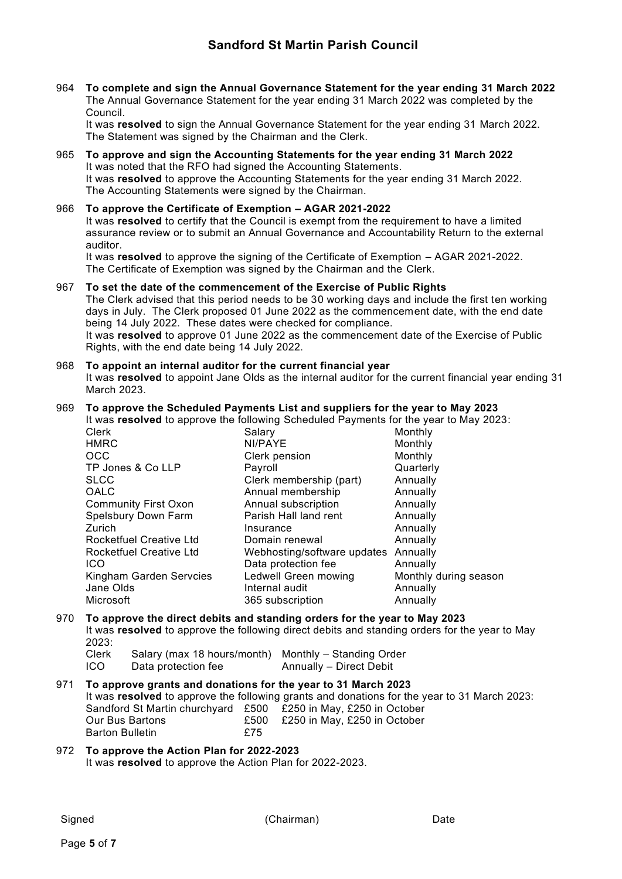964 **To complete and sign the Annual Governance Statement for the year ending 31 March 2022** The Annual Governance Statement for the year ending 31 March 2022 was completed by the Council.

It was **resolved** to sign the Annual Governance Statement for the year ending 31 March 2022. The Statement was signed by the Chairman and the Clerk.

#### 965 **To approve and sign the Accounting Statements for the year ending 31 March 2022** It was noted that the RFO had signed the Accounting Statements. It was **resolved** to approve the Accounting Statements for the year ending 31 March 2022. The Accounting Statements were signed by the Chairman.

### 966 **To approve the Certificate of Exemption – AGAR 2021-2022**

It was **resolved** to certify that the Council is exempt from the requirement to have a limited assurance review or to submit an Annual Governance and Accountability Return to the external auditor.

It was **resolved** to approve the signing of the Certificate of Exemption – AGAR 2021-2022. The Certificate of Exemption was signed by the Chairman and the Clerk.

#### 967 **To set the date of the commencement of the Exercise of Public Rights**

The Clerk advised that this period needs to be 30 working days and include the first ten working days in July. The Clerk proposed 01 June 2022 as the commencement date, with the end date being 14 July 2022. These dates were checked for compliance. It was **resolved** to approve 01 June 2022 as the commencement date of the Exercise of Public Rights, with the end date being 14 July 2022.

968 **To appoint an internal auditor for the current financial year** It was **resolved** to appoint Jane Olds as the internal auditor for the current financial year ending 31 March 2023.

# 969 **To approve the Scheduled Payments List and suppliers for the year to May 2023**

It was **resolved** to approve the following Scheduled Payments for the year to May 2023:

Clerk Salary Monthly HMRC NI/PAYE Monthly Clerk pension Monthly TP Jones & Co LLP Payroll **Payroll** Payroll **Contract Contract Contract Contract Contract Contract Contract Contract Contract Contract Contract Contract Contract Contract Contract Contract Contract Contract Contract Contra** SLCC Clerk membership (part) Annually OALC Annual membership Annually Community First Oxon Annual subscription Annually Spelsbury Down Farm Parish Hall land rent Annually Zurich Insurance Annually Rocketfuel Creative Ltd Domain renewal Annually Rocketfuel Creative Ltd Webhosting/software updates Annually ICO Data protection fee Annually Kingham Garden Servcies Ledwell Green mowing Monthly during season<br>Jane Olds Monternal audit Monternal Annually Internal audit **Annually** Microsoft 365 subscription Annually

# 970 **To approve the direct debits and standing orders for the year to May 2023** It was **resolved** to approve the following direct debits and standing orders for the year to May 2023:

Clerk Salary (max 18 hours/month) Monthly – Standing Order ICO Data protection fee Annually – Direct Debit

971 **To approve grants and donations for the year to 31 March 2023** It was **resolved** to approve the following grants and donations for the year to 31 March 2023: Sandford St Martin churchyard £500 £250 in May, £250 in October Our Bus Bartons £500 £250 in May, £250 in October Barton Bulletin **E75** 

### 972 **To approve the Action Plan for 2022-2023** It was **resolved** to approve the Action Plan for 2022-2023.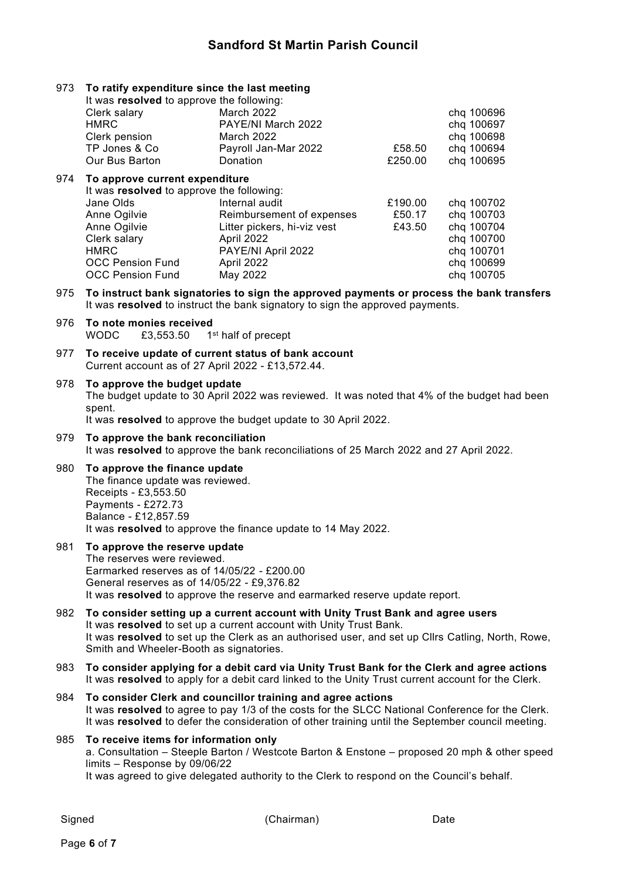## 973 **To ratify expenditure since the last meeting**

|     | It was resolved to approve the following: |                             |         |            |  |  |
|-----|-------------------------------------------|-----------------------------|---------|------------|--|--|
|     | Clerk salary                              | March 2022                  |         | chq 100696 |  |  |
|     | <b>HMRC</b>                               | PAYE/NI March 2022          |         | chq 100697 |  |  |
|     | Clerk pension                             | March 2022                  |         | chq 100698 |  |  |
|     | TP Jones & Co                             | Payroll Jan-Mar 2022        | £58.50  | chq 100694 |  |  |
|     | Our Bus Barton                            | Donation                    | £250.00 | chq 100695 |  |  |
| 974 | To approve current expenditure            |                             |         |            |  |  |
|     | It was resolved to approve the following: |                             |         |            |  |  |
|     | Jane Olds                                 | Internal audit              | £190.00 | chq 100702 |  |  |
|     | Anne Ogilvie                              | Reimbursement of expenses   | £50.17  | chq 100703 |  |  |
|     | Anne Ogilvie                              | Litter pickers, hi-viz vest | £43.50  | chq 100704 |  |  |
|     | Clerk salary                              | April 2022                  |         | chq 100700 |  |  |
|     | <b>HMRC</b>                               | PAYE/NI April 2022          |         | chq 100701 |  |  |
|     | <b>OCC Pension Fund</b>                   | April 2022                  |         | chq 100699 |  |  |
|     | <b>OCC Pension Fund</b>                   | May 2022                    |         | chq 100705 |  |  |
|     |                                           |                             |         |            |  |  |

975 **To instruct bank signatories to sign the approved payments or process the bank transfers** It was **resolved** to instruct the bank signatory to sign the approved payments.

- 976 **To note monies received** WODC £3.553.50 1<sup>st</sup> half of precept
- 977 **To receive update of current status of bank account** Current account as of 27 April 2022 - £13,572.44.
- 978 **To approve the budget update** The budget update to 30 April 2022 was reviewed. It was noted that 4% of the budget had been spent. It was **resolved** to approve the budget update to 30 April 2022.

979 **To approve the bank reconciliation** It was **resolved** to approve the bank reconciliations of 25 March 2022 and 27 April 2022.

### 980 **To approve the finance update**

The finance update was reviewed. Receipts - £3,553.50 Payments - £272.73 Balance - £12,857.59 It was **resolved** to approve the finance update to 14 May 2022.

### 981 **To approve the reserve update** The reserves were reviewed. Earmarked reserves as of 14/05/22 - £200.00 General reserves as of 14/05/22 - £9,376.82 It was **resolved** to approve the reserve and earmarked reserve update report.

- 982 **To consider setting up a current account with Unity Trust Bank and agree users** It was **resolved** to set up a current account with Unity Trust Bank. It was **resolved** to set up the Clerk as an authorised user, and set up Cllrs Catling, North, Rowe, Smith and Wheeler-Booth as signatories.
- 983 **To consider applying for a debit card via Unity Trust Bank for the Clerk and agree actions** It was **resolved** to apply for a debit card linked to the Unity Trust current account for the Clerk.
- 984 **To consider Clerk and councillor training and agree actions** It was **resolved** to agree to pay 1/3 of the costs for the SLCC National Conference for the Clerk. It was **resolved** to defer the consideration of other training until the September council meeting.

#### 985 **To receive items for information only** a. Consultation – Steeple Barton / Westcote Barton & Enstone – proposed 20 mph & other speed limits – Response by 09/06/22 It was agreed to give delegated authority to the Clerk to respond on the Council's behalf.